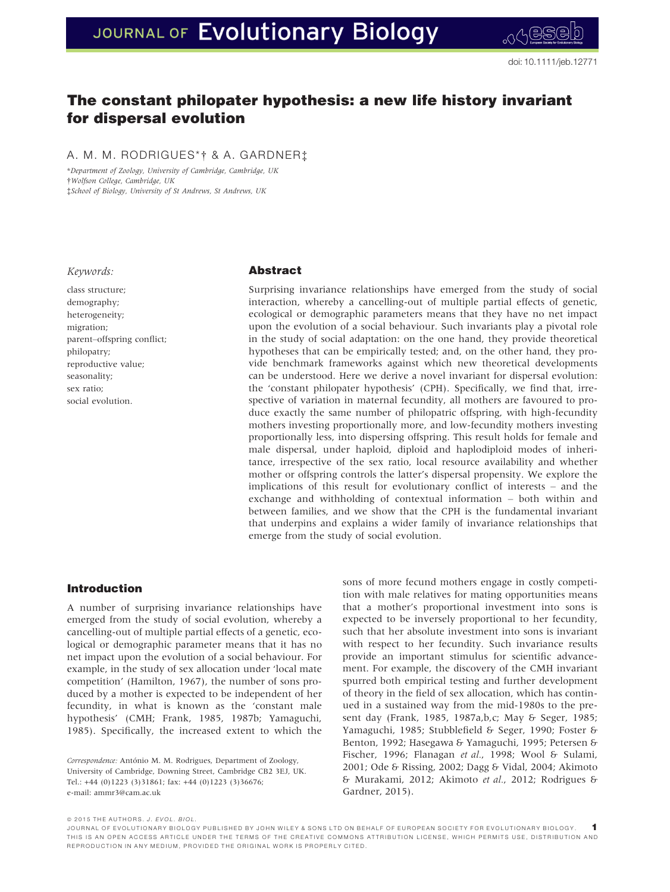# JOURNAL OF Evolutionary Biology

## The constant philopater hypothesis: a new life history invariant for dispersal evolution

A. M. M. RODRIGUES\*† & A. GARDNER‡

\*Department of Zoology, University of Cambridge, Cambridge, UK †Wolfson College, Cambridge, UK ‡School of Biology, University of St Andrews, St Andrews, UK

#### Keywords:

class structure; demography; heterogeneity; migration; parent–offspring conflict; philopatry; reproductive value; seasonality; sex ratio; social evolution.

## Abstract

Surprising invariance relationships have emerged from the study of social interaction, whereby a cancelling-out of multiple partial effects of genetic, ecological or demographic parameters means that they have no net impact upon the evolution of a social behaviour. Such invariants play a pivotal role in the study of social adaptation: on the one hand, they provide theoretical hypotheses that can be empirically tested; and, on the other hand, they provide benchmark frameworks against which new theoretical developments can be understood. Here we derive a novel invariant for dispersal evolution: the 'constant philopater hypothesis' (CPH). Specifically, we find that, irrespective of variation in maternal fecundity, all mothers are favoured to produce exactly the same number of philopatric offspring, with high-fecundity mothers investing proportionally more, and low-fecundity mothers investing proportionally less, into dispersing offspring. This result holds for female and male dispersal, under haploid, diploid and haplodiploid modes of inheritance, irrespective of the sex ratio, local resource availability and whether mother or offspring controls the latter's dispersal propensity. We explore the implications of this result for evolutionary conflict of interests – and the exchange and withholding of contextual information – both within and between families, and we show that the CPH is the fundamental invariant that underpins and explains a wider family of invariance relationships that emerge from the study of social evolution.

## Introduction

A number of surprising invariance relationships have emerged from the study of social evolution, whereby a cancelling-out of multiple partial effects of a genetic, ecological or demographic parameter means that it has no net impact upon the evolution of a social behaviour. For example, in the study of sex allocation under 'local mate competition' (Hamilton, 1967), the number of sons produced by a mother is expected to be independent of her fecundity, in what is known as the 'constant male hypothesis' (CMH; Frank, 1985, 1987b; Yamaguchi, 1985). Specifically, the increased extent to which the

sons of more fecund mothers engage in costly competition with male relatives for mating opportunities means that a mother's proportional investment into sons is expected to be inversely proportional to her fecundity, such that her absolute investment into sons is invariant with respect to her fecundity. Such invariance results provide an important stimulus for scientific advancement. For example, the discovery of the CMH invariant spurred both empirical testing and further development of theory in the field of sex allocation, which has continued in a sustained way from the mid-1980s to the present day (Frank, 1985, 1987a,b,c; May & Seger, 1985; Yamaguchi, 1985; Stubblefield & Seger, 1990; Foster & Benton, 1992; Hasegawa & Yamaguchi, 1995; Petersen & Fischer, 1996; Flanagan et al., 1998; Wool & Sulami, 2001; Ode & Rissing, 2002; Dagg & Vidal, 2004; Akimoto & Murakami, 2012; Akimoto et al., 2012; Rodrigues & Gardner, 2015).

Correspondence: António M. M. Rodrigues, Department of Zoology, University of Cambridge, Downing Street, Cambridge CB2 3EJ, UK. Tel.: +44 (0)1223 (3)31861; fax: +44 (0)1223 (3)36676; e-mail: ammr3@cam.ac.uk

<sup>© 2015</sup> THE AUTHORS. J. EVOL. BIOL.

JOURNAL OF EVOLUTIONARY BIOLOGY PUBLISHED BY JOHN WILEY & SONS L TD ON BEHALF OF EUROPEAN SOCIETY FOR EVOLUTIONARY BIOLOGY. 1 THIS IS AN OPEN ACCESS ARTICLE UNDER THE TERMS OF THE CREATIVE CO[MMONS ATTRIBUTION](http://creativecommons.org/licenses/by/4.0/) LICENSE, WHICH PERMITS USE, DISTRIBUTION AND REPRODUCTION IN ANY MEDIUM, PROVIDED THE ORIGINAL WORK IS PROPERLY CITED.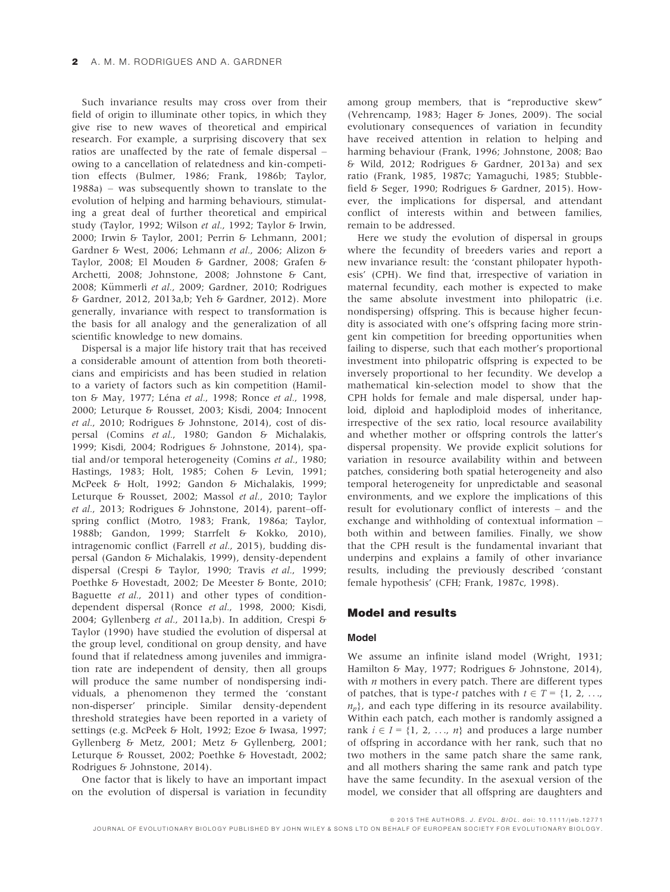Such invariance results may cross over from their field of origin to illuminate other topics, in which they give rise to new waves of theoretical and empirical research. For example, a surprising discovery that sex ratios are unaffected by the rate of female dispersal – owing to a cancellation of relatedness and kin-competition effects (Bulmer, 1986; Frank, 1986b; Taylor, 1988a) – was subsequently shown to translate to the evolution of helping and harming behaviours, stimulating a great deal of further theoretical and empirical study (Taylor, 1992; Wilson et al., 1992; Taylor & Irwin, 2000; Irwin & Taylor, 2001; Perrin & Lehmann, 2001; Gardner & West, 2006; Lehmann et al., 2006; Alizon & Taylor, 2008; El Mouden & Gardner, 2008; Grafen & Archetti, 2008; Johnstone, 2008; Johnstone & Cant, 2008; Kümmerli et al., 2009; Gardner, 2010; Rodrigues & Gardner, 2012, 2013a,b; Yeh & Gardner, 2012). More generally, invariance with respect to transformation is the basis for all analogy and the generalization of all scientific knowledge to new domains.

Dispersal is a major life history trait that has received a considerable amount of attention from both theoreticians and empiricists and has been studied in relation to a variety of factors such as kin competition (Hamilton & May, 1977; Léna et al., 1998; Ronce et al., 1998, 2000; Leturque & Rousset, 2003; Kisdi, 2004; Innocent et al., 2010; Rodrigues & Johnstone, 2014), cost of dispersal (Comins et al., 1980; Gandon & Michalakis, 1999; Kisdi, 2004; Rodrigues & Johnstone, 2014), spatial and/or temporal heterogeneity (Comins et al., 1980; Hastings, 1983; Holt, 1985; Cohen & Levin, 1991; McPeek & Holt, 1992; Gandon & Michalakis, 1999; Leturque & Rousset, 2002; Massol et al., 2010; Taylor et al., 2013; Rodrigues & Johnstone, 2014), parent–offspring conflict (Motro, 1983; Frank, 1986a; Taylor, 1988b; Gandon, 1999; Starrfelt & Kokko, 2010), intragenomic conflict (Farrell et al., 2015), budding dispersal (Gandon & Michalakis, 1999), density-dependent dispersal (Crespi & Taylor, 1990; Travis et al., 1999; Poethke & Hovestadt, 2002; De Meester & Bonte, 2010; Baguette et al., 2011) and other types of conditiondependent dispersal (Ronce et al., 1998, 2000; Kisdi, 2004; Gyllenberg et al., 2011a,b). In addition, Crespi & Taylor (1990) have studied the evolution of dispersal at the group level, conditional on group density, and have found that if relatedness among juveniles and immigration rate are independent of density, then all groups will produce the same number of nondispersing individuals, a phenomenon they termed the 'constant non-disperser' principle. Similar density-dependent threshold strategies have been reported in a variety of settings (e.g. McPeek & Holt, 1992; Ezoe & Iwasa, 1997; Gyllenberg & Metz, 2001; Metz & Gyllenberg, 2001; Leturque & Rousset, 2002; Poethke & Hovestadt, 2002; Rodrigues & Johnstone, 2014).

One factor that is likely to have an important impact on the evolution of dispersal is variation in fecundity

among group members, that is "reproductive skew" (Vehrencamp, 1983; Hager & Jones, 2009). The social evolutionary consequences of variation in fecundity have received attention in relation to helping and harming behaviour (Frank, 1996; Johnstone, 2008; Bao & Wild, 2012; Rodrigues & Gardner, 2013a) and sex ratio (Frank, 1985, 1987c; Yamaguchi, 1985; Stubblefield & Seger, 1990; Rodrigues & Gardner, 2015). However, the implications for dispersal, and attendant conflict of interests within and between families, remain to be addressed.

Here we study the evolution of dispersal in groups where the fecundity of breeders varies and report a new invariance result: the 'constant philopater hypothesis' (CPH). We find that, irrespective of variation in maternal fecundity, each mother is expected to make the same absolute investment into philopatric (i.e. nondispersing) offspring. This is because higher fecundity is associated with one's offspring facing more stringent kin competition for breeding opportunities when failing to disperse, such that each mother's proportional investment into philopatric offspring is expected to be inversely proportional to her fecundity. We develop a mathematical kin-selection model to show that the CPH holds for female and male dispersal, under haploid, diploid and haplodiploid modes of inheritance, irrespective of the sex ratio, local resource availability and whether mother or offspring controls the latter's dispersal propensity. We provide explicit solutions for variation in resource availability within and between patches, considering both spatial heterogeneity and also temporal heterogeneity for unpredictable and seasonal environments, and we explore the implications of this result for evolutionary conflict of interests – and the exchange and withholding of contextual information – both within and between families. Finally, we show that the CPH result is the fundamental invariant that underpins and explains a family of other invariance results, including the previously described 'constant female hypothesis' (CFH; Frank, 1987c, 1998).

## Model and results

#### Model

We assume an infinite island model (Wright, 1931; Hamilton & May, 1977; Rodrigues & Johnstone, 2014), with  $n$  mothers in every patch. There are different types of patches, that is type-t patches with  $t \in T = \{1, 2, \ldots,$  $n_p$ , and each type differing in its resource availability. Within each patch, each mother is randomly assigned a rank  $i \in I = \{1, 2, ..., n\}$  and produces a large number of offspring in accordance with her rank, such that no two mothers in the same patch share the same rank, and all mothers sharing the same rank and patch type have the same fecundity. In the asexual version of the model, we consider that all offspring are daughters and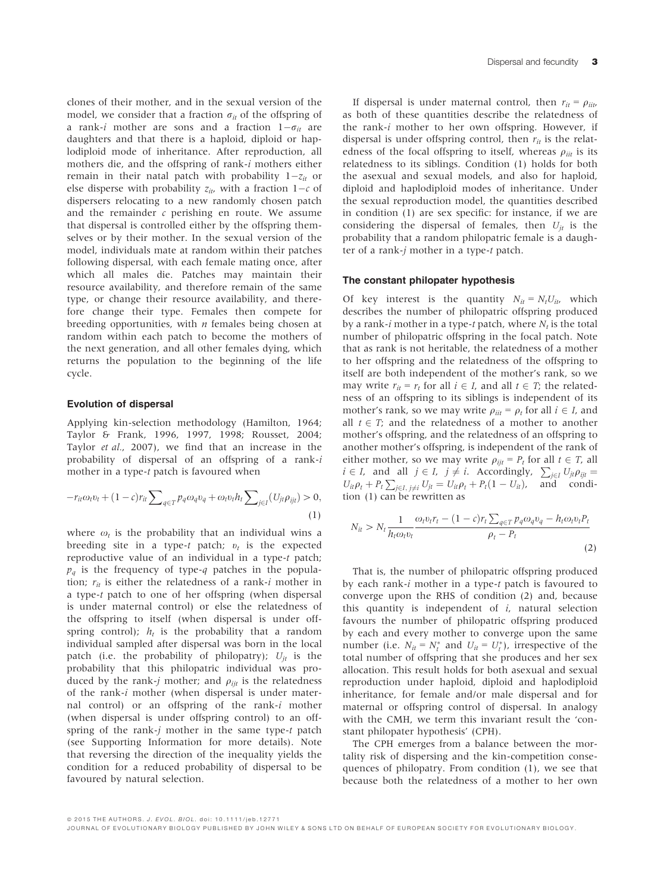clones of their mother, and in the sexual version of the model, we consider that a fraction  $\sigma_{it}$  of the offspring of a rank-*i* mother are sons and a fraction  $1-\sigma_{it}$  are daughters and that there is a haploid, diploid or haplodiploid mode of inheritance. After reproduction, all mothers die, and the offspring of rank-i mothers either remain in their natal patch with probability  $1-z_{it}$  or else disperse with probability  $z_{it}$ , with a fraction  $1-c$  of dispersers relocating to a new randomly chosen patch and the remainder  $c$  perishing en route. We assume that dispersal is controlled either by the offspring themselves or by their mother. In the sexual version of the model, individuals mate at random within their patches following dispersal, with each female mating once, after which all males die. Patches may maintain their resource availability, and therefore remain of the same type, or change their resource availability, and therefore change their type. Females then compete for breeding opportunities, with  $n$  females being chosen at random within each patch to become the mothers of the next generation, and all other females dying, which returns the population to the beginning of the life cycle.

#### Evolution of dispersal

Applying kin-selection methodology (Hamilton, 1964; Taylor & Frank, 1996, 1997, 1998; Rousset, 2004; Taylor et al., 2007), we find that an increase in the probability of dispersal of an offspring of a rank-i mother in a type-t patch is favoured when

$$
-r_{it}\omega_t v_t + (1-c)r_{it}\sum_{q\in T}p_q\omega_q v_q + \omega_t v_t h_t \sum_{j\in I} (U_{jt}\rho_{ijt}) > 0,
$$
\n(1)

where  $\omega_t$  is the probability that an individual wins a breeding site in a type-t patch;  $v_t$  is the expected reproductive value of an individual in a type-t patch;  $p_q$  is the frequency of type-q patches in the population;  $r_{it}$  is either the relatedness of a rank-i mother in a type-t patch to one of her offspring (when dispersal is under maternal control) or else the relatedness of the offspring to itself (when dispersal is under offspring control);  $h_t$  is the probability that a random individual sampled after dispersal was born in the local patch (i.e. the probability of philopatry);  $U_{it}$  is the probability that this philopatric individual was produced by the rank-j mother; and  $\rho_{ijt}$  is the relatedness of the rank-i mother (when dispersal is under maternal control) or an offspring of the rank-i mother (when dispersal is under offspring control) to an offspring of the rank-j mother in the same type-t patch (see Supporting Information for more details). Note that reversing the direction of the inequality yields the condition for a reduced probability of dispersal to be favoured by natural selection.

If dispersal is under maternal control, then  $r_{it} = \rho_{iit}$ , as both of these quantities describe the relatedness of the rank-i mother to her own offspring. However, if dispersal is under offspring control, then  $r_{it}$  is the relatedness of the focal offspring to itself, whereas  $\rho_{ijt}$  is its relatedness to its siblings. Condition (1) holds for both the asexual and sexual models, and also for haploid, diploid and haplodiploid modes of inheritance. Under the sexual reproduction model, the quantities described in condition (1) are sex specific: for instance, if we are considering the dispersal of females, then  $U_{it}$  is the probability that a random philopatric female is a daughter of a rank-j mother in a type-t patch.

#### The constant philopater hypothesis

Of key interest is the quantity  $N_{it} = N_t U_{it}$ , which describes the number of philopatric offspring produced by a rank-i mother in a type-t patch, where  $N_t$  is the total number of philopatric offspring in the focal patch. Note that as rank is not heritable, the relatedness of a mother to her offspring and the relatedness of the offspring to itself are both independent of the mother's rank, so we may write  $r_{it} = r_t$  for all  $i \in I$ , and all  $t \in T$ ; the relatedness of an offspring to its siblings is independent of its mother's rank, so we may write  $\rho_{iit} = \rho_t$  for all  $i \in I$ , and all  $t \in T$ ; and the relatedness of a mother to another mother's offspring, and the relatedness of an offspring to another mother's offspring, is independent of the rank of either mother, so we may write  $\rho_{ijt} = P_t$  for all  $t \in T$ , all  $i \in I$ , and all  $j \in I$ ,  $j \neq i$ . Accordingly,  $\sum_{j \in I} U_{jt} \rho_{ijt} =$  $U_{it}\rho_t + P_t \sum_{j\in I, j\neq i} U_{jt} = U_{it}\rho_t + P_t(1 - U_{it}),$  and condition (1) can be rewritten as

$$
N_{it} > N_t \frac{1}{h_t \omega_t v_t} \frac{\omega_t v_t r_t - (1 - c) r_t \sum_{q \in T} p_q \omega_q v_q - h_t \omega_t v_t P_t}{\rho_t - P_t}
$$
\n
$$
(2)
$$

That is, the number of philopatric offspring produced by each rank-i mother in a type-t patch is favoured to converge upon the RHS of condition (2) and, because this quantity is independent of  $i$ , natural selection favours the number of philopatric offspring produced by each and every mother to converge upon the same number (i.e.  $N_{it} = N_t^*$  and  $U_{it} = U_t^*$ ), irrespective of the total number of offspring that she produces and her sex allocation. This result holds for both asexual and sexual reproduction under haploid, diploid and haplodiploid inheritance, for female and/or male dispersal and for maternal or offspring control of dispersal. In analogy with the CMH, we term this invariant result the 'constant philopater hypothesis' (CPH).

The CPH emerges from a balance between the mortality risk of dispersing and the kin-competition consequences of philopatry. From condition (1), we see that because both the relatedness of a mother to her own

ª 2015 THE AUTHORS. J. EVOL. BIOL. doi: 10.1111/jeb.12771

JOURNAL OF EVOLUTIONARY BIOLOGY PUBLISHED BY JOHN WILEY & SONS LTD ON BEHALF OF EUROPEAN SOCIETY FOR EVOLUTIONARY BIOLOGY.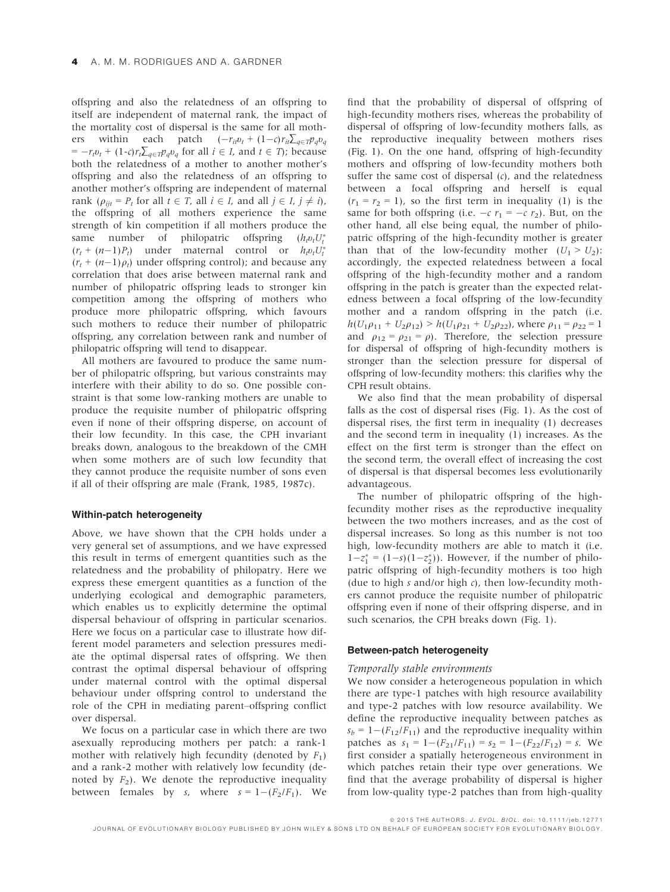offspring and also the relatedness of an offspring to itself are independent of maternal rank, the impact of the mortality cost of dispersal is the same for all mothers within each patch  $(-r_{it}v_t + (1-c)r_{it}\sum_{q \in T}p_qv_q)$  $=-r_t v_t + (1-c)r_t \sum_{q \in T} p_q v_q$  for all  $i \in I$ , and  $t \in T$ ); because both the relatedness of a mother to another mother's offspring and also the relatedness of an offspring to another mother's offspring are independent of maternal rank ( $\rho_{ijt} = P_t$  for all  $t \in T$ , all  $i \in I$ , and all  $j \in I$ ,  $j \neq i$ ), the offspring of all mothers experience the same strength of kin competition if all mothers produce the same number of philopatric offspring  $(h_t v_t U_t^*)$  $(r_t + (n-1)P_t)$  under maternal control or  $h_t v_t U_t^*$  $(r_t + (n-1)\rho_t)$  under offspring control); and because any correlation that does arise between maternal rank and number of philopatric offspring leads to stronger kin competition among the offspring of mothers who produce more philopatric offspring, which favours such mothers to reduce their number of philopatric offspring, any correlation between rank and number of philopatric offspring will tend to disappear.

All mothers are favoured to produce the same number of philopatric offspring, but various constraints may interfere with their ability to do so. One possible constraint is that some low-ranking mothers are unable to produce the requisite number of philopatric offspring even if none of their offspring disperse, on account of their low fecundity. In this case, the CPH invariant breaks down, analogous to the breakdown of the CMH when some mothers are of such low fecundity that they cannot produce the requisite number of sons even if all of their offspring are male (Frank, 1985, 1987c).

#### Within-patch heterogeneity

Above, we have shown that the CPH holds under a very general set of assumptions, and we have expressed this result in terms of emergent quantities such as the relatedness and the probability of philopatry. Here we express these emergent quantities as a function of the underlying ecological and demographic parameters, which enables us to explicitly determine the optimal dispersal behaviour of offspring in particular scenarios. Here we focus on a particular case to illustrate how different model parameters and selection pressures mediate the optimal dispersal rates of offspring. We then contrast the optimal dispersal behaviour of offspring under maternal control with the optimal dispersal behaviour under offspring control to understand the role of the CPH in mediating parent–offspring conflict over dispersal.

We focus on a particular case in which there are two asexually reproducing mothers per patch: a rank-1 mother with relatively high fecundity (denoted by  $F_1$ ) and a rank-2 mother with relatively low fecundity (denoted by  $F_2$ ). We denote the reproductive inequality between females by *s*, where  $s = 1 - (F_2/F_1)$ . We

find that the probability of dispersal of offspring of high-fecundity mothers rises, whereas the probability of dispersal of offspring of low-fecundity mothers falls, as the reproductive inequality between mothers rises (Fig. 1). On the one hand, offspring of high-fecundity mothers and offspring of low-fecundity mothers both suffer the same cost of dispersal  $(c)$ , and the relatedness between a focal offspring and herself is equal  $(r_1 = r_2 = 1)$ , so the first term in inequality (1) is the same for both offspring (i.e.  $-c$   $r_1 = -c$   $r_2$ ). But, on the other hand, all else being equal, the number of philopatric offspring of the high-fecundity mother is greater than that of the low-fecundity mother  $(U_1 > U_2)$ : accordingly, the expected relatedness between a focal offspring of the high-fecundity mother and a random offspring in the patch is greater than the expected relatedness between a focal offspring of the low-fecundity mother and a random offspring in the patch (i.e.  $h(U_1\rho_{11} + U_2\rho_{12}) > h(U_1\rho_{21} + U_2\rho_{22})$ , where  $\rho_{11} = \rho_{22} = 1$ and  $\rho_{12} = \rho_{21} = \rho$ ). Therefore, the selection pressure for dispersal of offspring of high-fecundity mothers is stronger than the selection pressure for dispersal of offspring of low-fecundity mothers: this clarifies why the CPH result obtains.

We also find that the mean probability of dispersal falls as the cost of dispersal rises (Fig. 1). As the cost of dispersal rises, the first term in inequality (1) decreases and the second term in inequality (1) increases. As the effect on the first term is stronger than the effect on the second term, the overall effect of increasing the cost of dispersal is that dispersal becomes less evolutionarily advantageous.

The number of philopatric offspring of the highfecundity mother rises as the reproductive inequality between the two mothers increases, and as the cost of dispersal increases. So long as this number is not too high, low-fecundity mothers are able to match it (i.e.  $1-z_1^* = (1-s)(1-z_2^*)$ . However, if the number of philopatric offspring of high-fecundity mothers is too high (due to high s and/or high  $c$ ), then low-fecundity mothers cannot produce the requisite number of philopatric offspring even if none of their offspring disperse, and in such scenarios, the CPH breaks down (Fig. 1).

#### Between-patch heterogeneity

### Temporally stable environments

We now consider a heterogeneous population in which there are type-1 patches with high resource availability and type-2 patches with low resource availability. We define the reproductive inequality between patches as  $s_b = 1 - (F_{12}/F_{11})$  and the reproductive inequality within patches as  $s_1 = 1 - (F_{21}/F_{11}) = s_2 = 1 - (F_{22}/F_{12}) = s$ . We first consider a spatially heterogeneous environment in which patches retain their type over generations. We find that the average probability of dispersal is higher from low-quality type-2 patches than from high-quality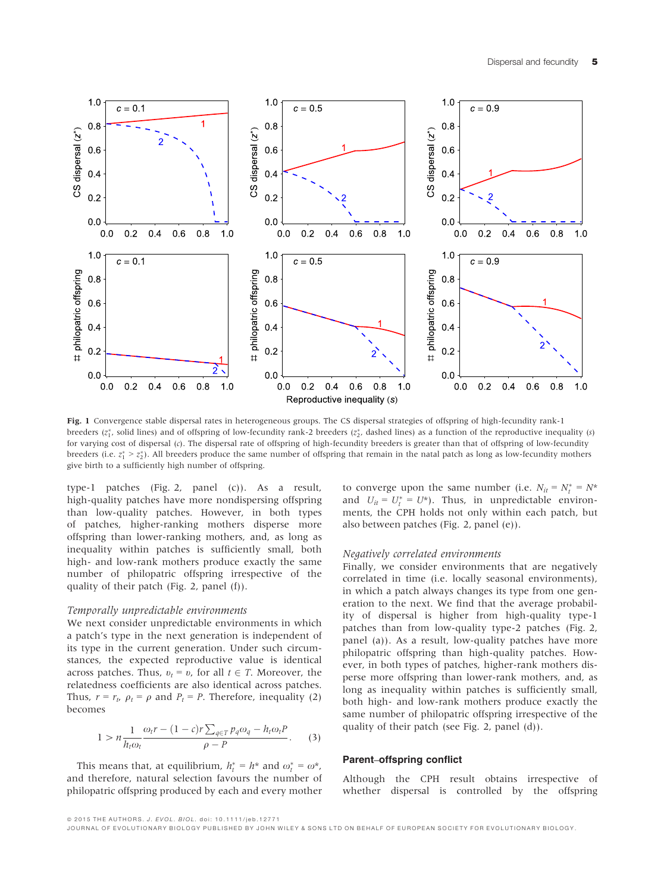

Fig. 1 Convergence stable dispersal rates in heterogeneous groups. The CS dispersal strategies of offspring of high-fecundity rank-1 breeders ( $z_1^*$ , solid lines) and of offspring of low-fecundity rank-2 breeders ( $z_2^*$ , dashed lines) as a function of the reproductive inequality (s) for varying cost of dispersal (c). The dispersal rate of offspring of high-fecundity breeders is greater than that of offspring of low-fecundity breeders (i.e.  $z_1^* > z_2^*$ ). All breeders produce the same number of offspring that remain in the natal patch as long as low-fecundity mothers give birth to a sufficiently high number of offspring.

type-1 patches (Fig. 2, panel (c)). As a result, high-quality patches have more nondispersing offspring than low-quality patches. However, in both types of patches, higher-ranking mothers disperse more offspring than lower-ranking mothers, and, as long as inequality within patches is sufficiently small, both high- and low-rank mothers produce exactly the same number of philopatric offspring irrespective of the quality of their patch (Fig. 2, panel (f)).

#### Temporally unpredictable environments

We next consider unpredictable environments in which a patch's type in the next generation is independent of its type in the current generation. Under such circumstances, the expected reproductive value is identical across patches. Thus,  $v_t = v$ , for all  $t \in T$ . Moreover, the relatedness coefficients are also identical across patches. Thus,  $r = r_t$ ,  $\rho_t = \rho$  and  $P_t = P$ . Therefore, inequality (2) becomes

$$
1 > n \frac{1}{h_t \omega_t} \frac{\omega_t r - (1 - c)r \sum_{q \in T} p_q \omega_q - h_t \omega_t P}{\rho - P}.
$$
 (3)

This means that, at equilibrium,  $h_t^* = h^*$  and  $\omega_t^* = \omega^*$ , and therefore, natural selection favours the number of philopatric offspring produced by each and every mother

to converge upon the same number (i.e.  $N_{it} = N_t^* = N^*$ and  $U_{it} = U_t^* = U^*$ ). Thus, in unpredictable environments, the CPH holds not only within each patch, but also between patches (Fig. 2, panel (e)).

#### Negatively correlated environments

Finally, we consider environments that are negatively correlated in time (i.e. locally seasonal environments), in which a patch always changes its type from one generation to the next. We find that the average probability of dispersal is higher from high-quality type-1 patches than from low-quality type-2 patches (Fig. 2, panel (a)). As a result, low-quality patches have more philopatric offspring than high-quality patches. However, in both types of patches, higher-rank mothers disperse more offspring than lower-rank mothers, and, as long as inequality within patches is sufficiently small, both high- and low-rank mothers produce exactly the same number of philopatric offspring irrespective of the quality of their patch (see Fig. 2, panel (d)).

#### Parent–offspring conflict

Although the CPH result obtains irrespective of whether dispersal is controlled by the offspring

JOURNAL OF EVOLUTIONARY BIOLOGY PUBLISHED BY JOHN WILEY & SONS LTD ON BEHALF OF EUROPEAN SOCIETY FOR EVOLUTIONARY BIOLOGY.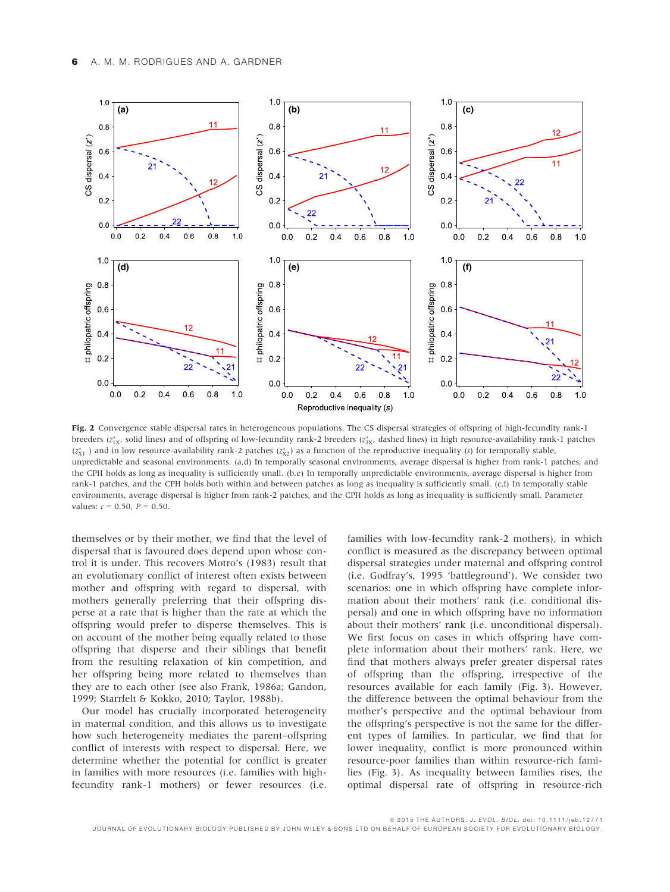

Fig. 2 Convergence stable dispersal rates in heterogeneous populations. The CS dispersal strategies of offspring of high-fecundity rank-1 breeders ( $z_{1X}^*$ , solid lines) and of offspring of low-fecundity rank-2 breeders ( $z_{2X}^*$ , dashed lines) in high resource-availability rank-1 patches  $(z_{X1}^*)$  and in low resource-availability rank-2 patches  $(z_{X2}^*)$  as a function of the reproductive inequality (s) for temporally stable, unpredictable and seasonal environments. (a,d) In temporally seasonal environments, average dispersal is higher from rank-1 patches, and the CPH holds as long as inequality is sufficiently small. (b,e) In temporally unpredictable environments, average dispersal is higher from rank-1 patches, and the CPH holds both within and between patches as long as inequality is sufficiently small. (c,f) In temporally stable environments, average dispersal is higher from rank-2 patches, and the CPH holds as long as inequality is sufficiently small. Parameter values:  $c = 0.50$ ,  $P = 0.50$ .

themselves or by their mother, we find that the level of dispersal that is favoured does depend upon whose control it is under. This recovers Motro's (1983) result that an evolutionary conflict of interest often exists between mother and offspring with regard to dispersal, with mothers generally preferring that their offspring disperse at a rate that is higher than the rate at which the offspring would prefer to disperse themselves. This is on account of the mother being equally related to those offspring that disperse and their siblings that benefit from the resulting relaxation of kin competition, and her offspring being more related to themselves than they are to each other (see also Frank, 1986a; Gandon, 1999; Starrfelt & Kokko, 2010; Taylor, 1988b).

Our model has crucially incorporated heterogeneity in maternal condition, and this allows us to investigate how such heterogeneity mediates the parent–offspring conflict of interests with respect to dispersal. Here, we determine whether the potential for conflict is greater in families with more resources (i.e. families with highfecundity rank-1 mothers) or fewer resources (i.e.

families with low-fecundity rank-2 mothers), in which conflict is measured as the discrepancy between optimal dispersal strategies under maternal and offspring control (i.e. Godfray's, 1995 'battleground'). We consider two scenarios: one in which offspring have complete information about their mothers' rank (i.e. conditional dispersal) and one in which offspring have no information about their mothers' rank (i.e. unconditional dispersal). We first focus on cases in which offspring have complete information about their mothers' rank. Here, we find that mothers always prefer greater dispersal rates of offspring than the offspring, irrespective of the resources available for each family (Fig. 3). However, the difference between the optimal behaviour from the mother's perspective and the optimal behaviour from the offspring's perspective is not the same for the different types of families. In particular, we find that for lower inequality, conflict is more pronounced within resource-poor families than within resource-rich families (Fig. 3). As inequality between families rises, the optimal dispersal rate of offspring in resource-rich

JOURNAL OF EVOLUTIONARY BIOLOGY PUBLISHED BY JOHN WILEY & SONS LTD ON BEHALF OF EUROPEAN SOCIETY FOR EVOLUTIONARY BIOLOGY.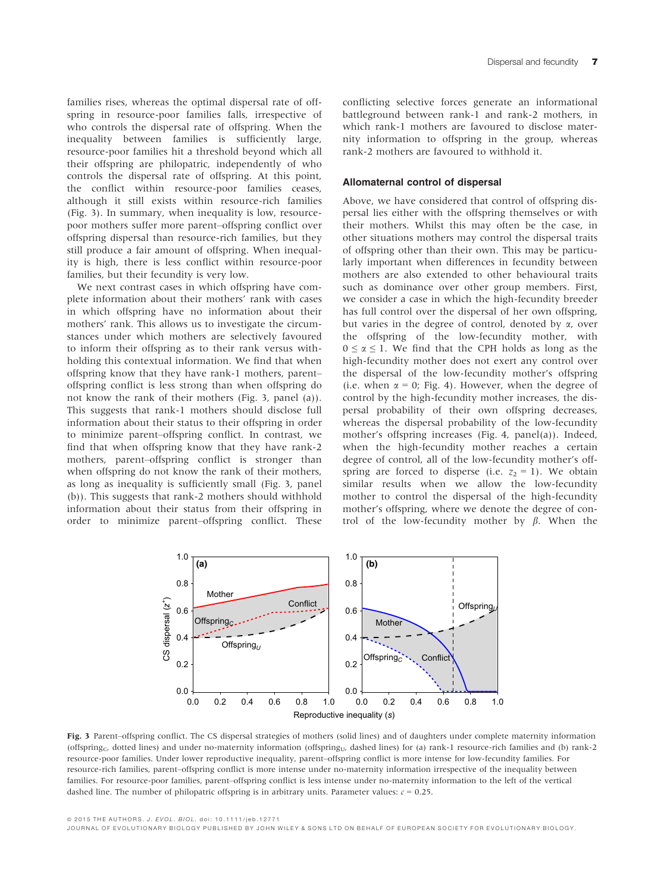families rises, whereas the optimal dispersal rate of offspring in resource-poor families falls, irrespective of who controls the dispersal rate of offspring. When the inequality between families is sufficiently large, resource-poor families hit a threshold beyond which all their offspring are philopatric, independently of who controls the dispersal rate of offspring. At this point, the conflict within resource-poor families ceases, although it still exists within resource-rich families (Fig. 3). In summary, when inequality is low, resourcepoor mothers suffer more parent–offspring conflict over offspring dispersal than resource-rich families, but they still produce a fair amount of offspring. When inequality is high, there is less conflict within resource-poor families, but their fecundity is very low.

We next contrast cases in which offspring have complete information about their mothers' rank with cases in which offspring have no information about their mothers' rank. This allows us to investigate the circumstances under which mothers are selectively favoured to inform their offspring as to their rank versus withholding this contextual information. We find that when offspring know that they have rank-1 mothers, parent– offspring conflict is less strong than when offspring do not know the rank of their mothers (Fig. 3, panel (a)). This suggests that rank-1 mothers should disclose full information about their status to their offspring in order to minimize parent–offspring conflict. In contrast, we find that when offspring know that they have rank-2 mothers, parent–offspring conflict is stronger than when offspring do not know the rank of their mothers, as long as inequality is sufficiently small (Fig. 3, panel (b)). This suggests that rank-2 mothers should withhold information about their status from their offspring in order to minimize parent–offspring conflict. These

conflicting selective forces generate an informational battleground between rank-1 and rank-2 mothers, in which rank-1 mothers are favoured to disclose maternity information to offspring in the group, whereas rank-2 mothers are favoured to withhold it.

#### Allomaternal control of dispersal

Above, we have considered that control of offspring dispersal lies either with the offspring themselves or with their mothers. Whilst this may often be the case, in other situations mothers may control the dispersal traits of offspring other than their own. This may be particularly important when differences in fecundity between mothers are also extended to other behavioural traits such as dominance over other group members. First, we consider a case in which the high-fecundity breeder has full control over the dispersal of her own offspring, but varies in the degree of control, denoted by  $\alpha$ , over the offspring of the low-fecundity mother, with  $0 \le \alpha \le 1$ . We find that the CPH holds as long as the high-fecundity mother does not exert any control over the dispersal of the low-fecundity mother's offspring (i.e. when  $\alpha = 0$ ; Fig. 4). However, when the degree of control by the high-fecundity mother increases, the dispersal probability of their own offspring decreases, whereas the dispersal probability of the low-fecundity mother's offspring increases (Fig. 4, panel(a)). Indeed, when the high-fecundity mother reaches a certain degree of control, all of the low-fecundity mother's offspring are forced to disperse (i.e.  $z_2 = 1$ ). We obtain similar results when we allow the low-fecundity mother to control the dispersal of the high-fecundity mother's offspring, where we denote the degree of control of the low-fecundity mother by  $\beta$ . When the



Fig. 3 Parent–offspring conflict. The CS dispersal strategies of mothers (solid lines) and of daughters under complete maternity information (offspring<sub>C</sub>, dotted lines) and under no-maternity information (offspring<sub>U</sub>, dashed lines) for (a) rank-1 resource-rich families and (b) rank-2 resource-poor families. Under lower reproductive inequality, parent–offspring conflict is more intense for low-fecundity families. For resource-rich families, parent–offspring conflict is more intense under no-maternity information irrespective of the inequality between families. For resource-poor families, parent–offspring conflict is less intense under no-maternity information to the left of the vertical dashed line. The number of philopatric offspring is in arbitrary units. Parameter values:  $c = 0.25$ .

ª 2015 THE AUTHORS. J. EVOL. BIOL. doi: 10.1111/jeb.12771

JOURNAL OF EVOLUTIONARY BIOLOGY PUBLISHED BY JOHN WILEY & SONS L TD ON BEHALF OF EUROPEAN SOCIETY FOR EVOLUTIONARY BIOLOGY.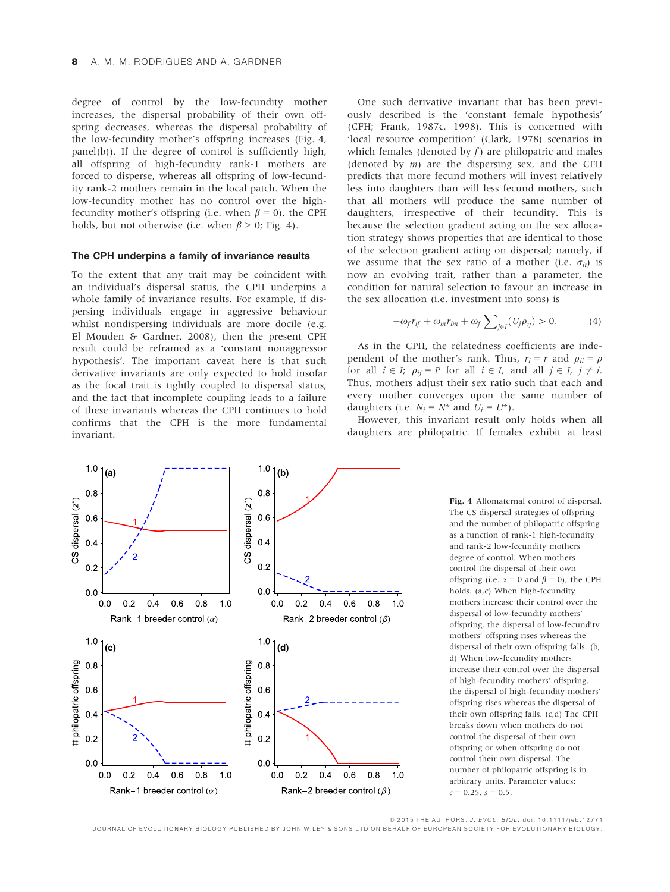degree of control by the low-fecundity mother increases, the dispersal probability of their own offspring decreases, whereas the dispersal probability of the low-fecundity mother's offspring increases (Fig. 4, panel(b)). If the degree of control is sufficiently high, all offspring of high-fecundity rank-1 mothers are forced to disperse, whereas all offspring of low-fecundity rank-2 mothers remain in the local patch. When the low-fecundity mother has no control over the highfecundity mother's offspring (i.e. when  $\beta = 0$ ), the CPH holds, but not otherwise (i.e. when  $\beta$  > 0; Fig. 4).

#### The CPH underpins a family of invariance results

To the extent that any trait may be coincident with an individual's dispersal status, the CPH underpins a whole family of invariance results. For example, if dispersing individuals engage in aggressive behaviour whilst nondispersing individuals are more docile (e.g. El Mouden & Gardner, 2008), then the present CPH result could be reframed as a 'constant nonaggressor hypothesis'. The important caveat here is that such derivative invariants are only expected to hold insofar as the focal trait is tightly coupled to dispersal status, and the fact that incomplete coupling leads to a failure of these invariants whereas the CPH continues to hold confirms that the CPH is the more fundamental invariant.

One such derivative invariant that has been previously described is the 'constant female hypothesis' (CFH; Frank, 1987c, 1998). This is concerned with 'local resource competition' (Clark, 1978) scenarios in which females (denoted by  $f$ ) are philopatric and males (denoted by  $m$ ) are the dispersing sex, and the CFH predicts that more fecund mothers will invest relatively less into daughters than will less fecund mothers, such that all mothers will produce the same number of daughters, irrespective of their fecundity. This is because the selection gradient acting on the sex allocation strategy shows properties that are identical to those of the selection gradient acting on dispersal; namely, if we assume that the sex ratio of a mother (i.e.  $\sigma_{it}$ ) is now an evolving trait, rather than a parameter, the condition for natural selection to favour an increase in the sex allocation (i.e. investment into sons) is

$$
-\omega_f r_{if} + \omega_m r_{im} + \omega_f \sum_{j \in I} (U_j \rho_{ij}) > 0.
$$
 (4)

As in the CPH, the relatedness coefficients are independent of the mother's rank. Thus,  $r_i = r$  and  $\rho_{ii} = \rho$ for all  $i \in I$ ;  $\rho_{ii} = P$  for all  $i \in I$ , and all  $j \in I$ ,  $j \neq i$ . Thus, mothers adjust their sex ratio such that each and every mother converges upon the same number of daughters (i.e.  $N_i = N^*$  and  $U_i = U^*$ ).

However, this invariant result only holds when all daughters are philopatric. If females exhibit at least



Fig. 4 Allomaternal control of dispersal. The CS dispersal strategies of offspring and the number of philopatric offspring as a function of rank-1 high-fecundity and rank-2 low-fecundity mothers degree of control. When mothers control the dispersal of their own offspring (i.e.  $\alpha = 0$  and  $\beta = 0$ ), the CPH holds. (a,c) When high-fecundity mothers increase their control over the dispersal of low-fecundity mothers' offspring, the dispersal of low-fecundity mothers' offspring rises whereas the dispersal of their own offspring falls. (b, d) When low-fecundity mothers increase their control over the dispersal of high-fecundity mothers' offspring, the dispersal of high-fecundity mothers' offspring rises whereas the dispersal of their own offspring falls. (c,d) The CPH breaks down when mothers do not control the dispersal of their own offspring or when offspring do not control their own dispersal. The number of philopatric offspring is in arbitrary units. Parameter values:  $c = 0.25$ ,  $s = 0.5$ .

ª 2015 THE AUTHORS. J. EVOL. BIOL. doi: 10.1111/jeb.12771

JOURNAL OF EVOLUTIONARY BIOLOGY PUBLISHED BY JOHN WILEY & SONS LTD ON BEHALF OF EUROPEAN SOCIETY FOR EVOLUTIONARY BIOLOGY.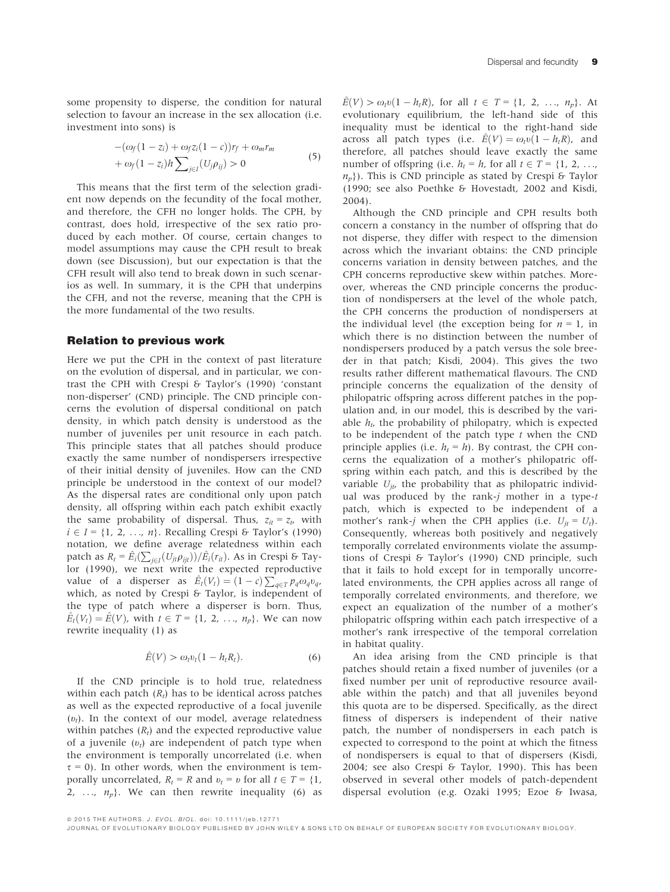some propensity to disperse, the condition for natural selection to favour an increase in the sex allocation (i.e. investment into sons) is

$$
-(\omega_f(1-z_i) + \omega_f z_i(1-c))r_f + \omega_m r_m
$$
  
+ 
$$
\omega_f(1-z_i)h \sum_{j\in I} (U_j \rho_{ij}) > 0
$$
 (5)

This means that the first term of the selection gradient now depends on the fecundity of the focal mother, and therefore, the CFH no longer holds. The CPH, by contrast, does hold, irrespective of the sex ratio produced by each mother. Of course, certain changes to model assumptions may cause the CPH result to break down (see Discussion), but our expectation is that the CFH result will also tend to break down in such scenarios as well. In summary, it is the CPH that underpins the CFH, and not the reverse, meaning that the CPH is the more fundamental of the two results.

## Relation to previous work

Here we put the CPH in the context of past literature on the evolution of dispersal, and in particular, we contrast the CPH with Crespi & Taylor's (1990) 'constant non-disperser' (CND) principle. The CND principle concerns the evolution of dispersal conditional on patch density, in which patch density is understood as the number of juveniles per unit resource in each patch. This principle states that all patches should produce exactly the same number of nondispersers irrespective of their initial density of juveniles. How can the CND principle be understood in the context of our model? As the dispersal rates are conditional only upon patch density, all offspring within each patch exhibit exactly the same probability of dispersal. Thus,  $z_{it} = z_t$ , with  $i \in I = \{1, 2, \ldots, n\}$ . Recalling Crespi & Taylor's (1990) notation, we define average relatedness within each patch as  $R_t = \hat{E}_i(\sum_{j \in I} (U_{jt}\rho_{ijt}))/\hat{E}_i(r_{it})$ . As in Crespi & Taylor (1990), we next write the expected reproductive value of a disperser as  $\hat{E}_t(V_t) = (1 - c) \sum_{q \in T} p_q \omega_q v_q$ which, as noted by Crespi & Taylor, is independent of the type of patch where a disperser is born. Thus,  $\hat{E}_t(V_t) = \hat{E}(V)$ , with  $t \in T = \{1, 2, \ldots, n_p\}$ . We can now rewrite inequality (1) as

$$
\hat{E}(V) > \omega_t v_t (1 - h_t R_t).
$$
\n(6)

If the CND principle is to hold true, relatedness within each patch  $(R_t)$  has to be identical across patches as well as the expected reproductive of a focal juvenile  $(v_t)$ . In the context of our model, average relatedness within patches  $(R_t)$  and the expected reproductive value of a juvenile  $(v_t)$  are independent of patch type when the environment is temporally uncorrelated (i.e. when  $\tau = 0$ ). In other words, when the environment is temporally uncorrelated,  $R_t = R$  and  $v_t = v$  for all  $t \in T = \{1,$ 2, ...,  $n_n$ }. We can then rewrite inequality (6) as

 $\hat{E}(V) > \omega_t v (1 - h_t R)$ , for all  $t \in T = \{1, 2, ..., n_p\}$ . At evolutionary equilibrium, the left-hand side of this inequality must be identical to the right-hand side across all patch types (i.e.  $\hat{E}(V) = \omega_t v(1 - h_t R)$ , and therefore, all patches should leave exactly the same number of offspring (i.e.  $h_t = h$ , for all  $t \in T = \{1, 2, \ldots, n\}$  $n_n$ ). This is CND principle as stated by Crespi & Taylor (1990; see also Poethke & Hovestadt, 2002 and Kisdi, 2004).

Although the CND principle and CPH results both concern a constancy in the number of offspring that do not disperse, they differ with respect to the dimension across which the invariant obtains: the CND principle concerns variation in density between patches, and the CPH concerns reproductive skew within patches. Moreover, whereas the CND principle concerns the production of nondispersers at the level of the whole patch, the CPH concerns the production of nondispersers at the individual level (the exception being for  $n = 1$ , in which there is no distinction between the number of nondispersers produced by a patch versus the sole breeder in that patch; Kisdi, 2004). This gives the two results rather different mathematical flavours. The CND principle concerns the equalization of the density of philopatric offspring across different patches in the population and, in our model, this is described by the variable  $h_t$ , the probability of philopatry, which is expected to be independent of the patch type  $t$  when the CND principle applies (i.e.  $h_t = h$ ). By contrast, the CPH concerns the equalization of a mother's philopatric offspring within each patch, and this is described by the variable  $U_{it}$ , the probability that as philopatric individual was produced by the rank-j mother in a type-t patch, which is expected to be independent of a mother's rank-j when the CPH applies (i.e.  $U_{it} = U_t$ ). Consequently, whereas both positively and negatively temporally correlated environments violate the assumptions of Crespi & Taylor's (1990) CND principle, such that it fails to hold except for in temporally uncorrelated environments, the CPH applies across all range of temporally correlated environments, and therefore, we expect an equalization of the number of a mother's philopatric offspring within each patch irrespective of a mother's rank irrespective of the temporal correlation in habitat quality.

An idea arising from the CND principle is that patches should retain a fixed number of juveniles (or a fixed number per unit of reproductive resource available within the patch) and that all juveniles beyond this quota are to be dispersed. Specifically, as the direct fitness of dispersers is independent of their native patch, the number of nondispersers in each patch is expected to correspond to the point at which the fitness of nondispersers is equal to that of dispersers (Kisdi, 2004; see also Crespi & Taylor, 1990). This has been observed in several other models of patch-dependent dispersal evolution (e.g. Ozaki 1995; Ezoe & Iwasa,

JOURNAL OF EVOLUTIONARY BIOLOGY PUBLISHED BY JOHN WILEY & SONS L TD ON BEHALF OF EUROPEAN SOCIETY FOR EVOLUTIONARY BIOLOGY.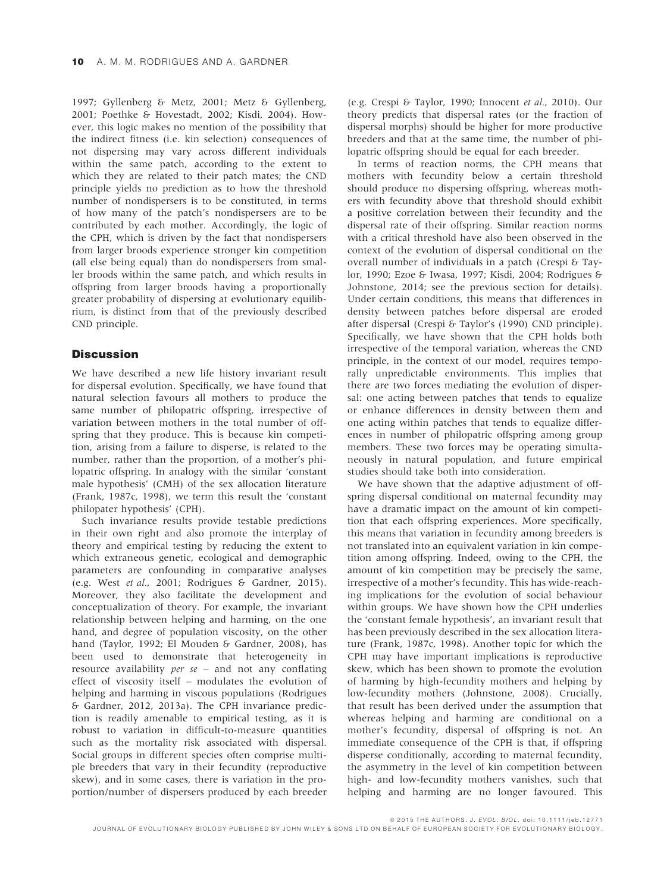1997; Gyllenberg & Metz, 2001; Metz & Gyllenberg, 2001; Poethke & Hovestadt, 2002; Kisdi, 2004). However, this logic makes no mention of the possibility that the indirect fitness (i.e. kin selection) consequences of not dispersing may vary across different individuals within the same patch, according to the extent to which they are related to their patch mates; the CND principle yields no prediction as to how the threshold number of nondispersers is to be constituted, in terms of how many of the patch's nondispersers are to be contributed by each mother. Accordingly, the logic of the CPH, which is driven by the fact that nondispersers from larger broods experience stronger kin competition (all else being equal) than do nondispersers from smaller broods within the same patch, and which results in offspring from larger broods having a proportionally greater probability of dispersing at evolutionary equilibrium, is distinct from that of the previously described CND principle.

## **Discussion**

We have described a new life history invariant result for dispersal evolution. Specifically, we have found that natural selection favours all mothers to produce the same number of philopatric offspring, irrespective of variation between mothers in the total number of offspring that they produce. This is because kin competition, arising from a failure to disperse, is related to the number, rather than the proportion, of a mother's philopatric offspring. In analogy with the similar 'constant male hypothesis' (CMH) of the sex allocation literature (Frank, 1987c, 1998), we term this result the 'constant philopater hypothesis' (CPH).

Such invariance results provide testable predictions in their own right and also promote the interplay of theory and empirical testing by reducing the extent to which extraneous genetic, ecological and demographic parameters are confounding in comparative analyses (e.g. West et al., 2001; Rodrigues & Gardner, 2015). Moreover, they also facilitate the development and conceptualization of theory. For example, the invariant relationship between helping and harming, on the one hand, and degree of population viscosity, on the other hand (Taylor, 1992; El Mouden & Gardner, 2008), has been used to demonstrate that heterogeneity in resource availability *per se* – and not any conflating effect of viscosity itself – modulates the evolution of helping and harming in viscous populations (Rodrigues & Gardner, 2012, 2013a). The CPH invariance prediction is readily amenable to empirical testing, as it is robust to variation in difficult-to-measure quantities such as the mortality risk associated with dispersal. Social groups in different species often comprise multiple breeders that vary in their fecundity (reproductive skew), and in some cases, there is variation in the proportion/number of dispersers produced by each breeder

(e.g. Crespi & Taylor, 1990; Innocent et al., 2010). Our theory predicts that dispersal rates (or the fraction of dispersal morphs) should be higher for more productive breeders and that at the same time, the number of philopatric offspring should be equal for each breeder.

In terms of reaction norms, the CPH means that mothers with fecundity below a certain threshold should produce no dispersing offspring, whereas mothers with fecundity above that threshold should exhibit a positive correlation between their fecundity and the dispersal rate of their offspring. Similar reaction norms with a critical threshold have also been observed in the context of the evolution of dispersal conditional on the overall number of individuals in a patch (Crespi & Taylor, 1990; Ezoe & Iwasa, 1997; Kisdi, 2004; Rodrigues & Johnstone, 2014; see the previous section for details). Under certain conditions, this means that differences in density between patches before dispersal are eroded after dispersal (Crespi & Taylor's (1990) CND principle). Specifically, we have shown that the CPH holds both irrespective of the temporal variation, whereas the CND principle, in the context of our model, requires temporally unpredictable environments. This implies that there are two forces mediating the evolution of dispersal: one acting between patches that tends to equalize or enhance differences in density between them and one acting within patches that tends to equalize differences in number of philopatric offspring among group members. These two forces may be operating simultaneously in natural population, and future empirical studies should take both into consideration.

We have shown that the adaptive adjustment of offspring dispersal conditional on maternal fecundity may have a dramatic impact on the amount of kin competition that each offspring experiences. More specifically, this means that variation in fecundity among breeders is not translated into an equivalent variation in kin competition among offspring. Indeed, owing to the CPH, the amount of kin competition may be precisely the same, irrespective of a mother's fecundity. This has wide-reaching implications for the evolution of social behaviour within groups. We have shown how the CPH underlies the 'constant female hypothesis', an invariant result that has been previously described in the sex allocation literature (Frank, 1987c, 1998). Another topic for which the CPH may have important implications is reproductive skew, which has been shown to promote the evolution of harming by high-fecundity mothers and helping by low-fecundity mothers (Johnstone, 2008). Crucially, that result has been derived under the assumption that whereas helping and harming are conditional on a mother's fecundity, dispersal of offspring is not. An immediate consequence of the CPH is that, if offspring disperse conditionally, according to maternal fecundity, the asymmetry in the level of kin competition between high- and low-fecundity mothers vanishes, such that helping and harming are no longer favoured. This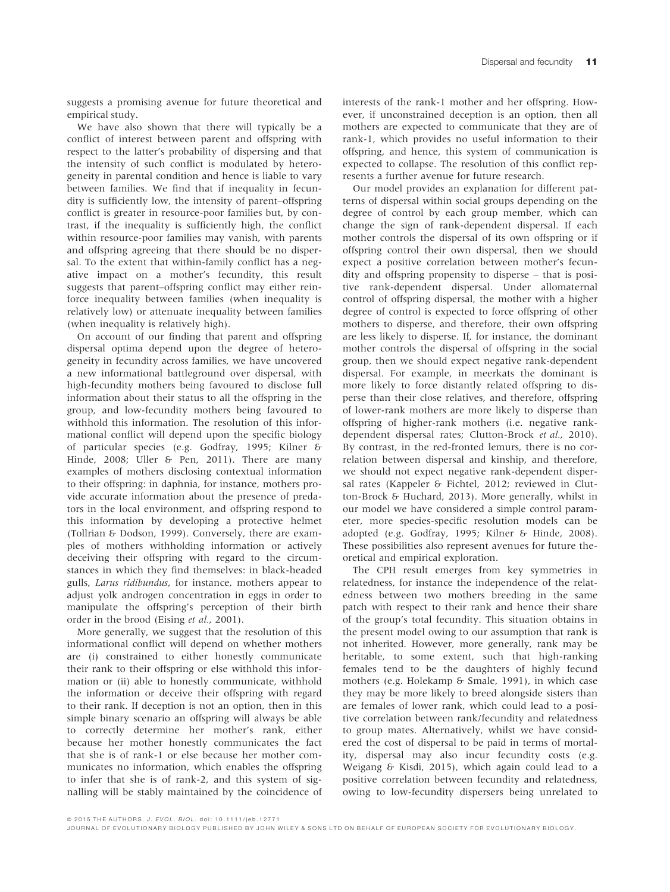suggests a promising avenue for future theoretical and empirical study.

We have also shown that there will typically be a conflict of interest between parent and offspring with respect to the latter's probability of dispersing and that the intensity of such conflict is modulated by heterogeneity in parental condition and hence is liable to vary between families. We find that if inequality in fecundity is sufficiently low, the intensity of parent–offspring conflict is greater in resource-poor families but, by contrast, if the inequality is sufficiently high, the conflict within resource-poor families may vanish, with parents and offspring agreeing that there should be no dispersal. To the extent that within-family conflict has a negative impact on a mother's fecundity, this result suggests that parent–offspring conflict may either reinforce inequality between families (when inequality is relatively low) or attenuate inequality between families (when inequality is relatively high).

On account of our finding that parent and offspring dispersal optima depend upon the degree of heterogeneity in fecundity across families, we have uncovered a new informational battleground over dispersal, with high-fecundity mothers being favoured to disclose full information about their status to all the offspring in the group, and low-fecundity mothers being favoured to withhold this information. The resolution of this informational conflict will depend upon the specific biology of particular species (e.g. Godfray, 1995; Kilner & Hinde, 2008; Uller & Pen, 2011). There are many examples of mothers disclosing contextual information to their offspring: in daphnia, for instance, mothers provide accurate information about the presence of predators in the local environment, and offspring respond to this information by developing a protective helmet (Tollrian & Dodson, 1999). Conversely, there are examples of mothers withholding information or actively deceiving their offspring with regard to the circumstances in which they find themselves: in black-headed gulls, Larus ridibundus, for instance, mothers appear to adjust yolk androgen concentration in eggs in order to manipulate the offspring's perception of their birth order in the brood (Eising et al., 2001).

More generally, we suggest that the resolution of this informational conflict will depend on whether mothers are (i) constrained to either honestly communicate their rank to their offspring or else withhold this information or (ii) able to honestly communicate, withhold the information or deceive their offspring with regard to their rank. If deception is not an option, then in this simple binary scenario an offspring will always be able to correctly determine her mother's rank, either because her mother honestly communicates the fact that she is of rank-1 or else because her mother communicates no information, which enables the offspring to infer that she is of rank-2, and this system of signalling will be stably maintained by the coincidence of

interests of the rank-1 mother and her offspring. However, if unconstrained deception is an option, then all mothers are expected to communicate that they are of rank-1, which provides no useful information to their offspring, and hence, this system of communication is expected to collapse. The resolution of this conflict represents a further avenue for future research.

Our model provides an explanation for different patterns of dispersal within social groups depending on the degree of control by each group member, which can change the sign of rank-dependent dispersal. If each mother controls the dispersal of its own offspring or if offspring control their own dispersal, then we should expect a positive correlation between mother's fecundity and offspring propensity to disperse – that is positive rank-dependent dispersal. Under allomaternal control of offspring dispersal, the mother with a higher degree of control is expected to force offspring of other mothers to disperse, and therefore, their own offspring are less likely to disperse. If, for instance, the dominant mother controls the dispersal of offspring in the social group, then we should expect negative rank-dependent dispersal. For example, in meerkats the dominant is more likely to force distantly related offspring to disperse than their close relatives, and therefore, offspring of lower-rank mothers are more likely to disperse than offspring of higher-rank mothers (i.e. negative rankdependent dispersal rates; Clutton-Brock et al., 2010). By contrast, in the red-fronted lemurs, there is no correlation between dispersal and kinship, and therefore, we should not expect negative rank-dependent dispersal rates (Kappeler & Fichtel, 2012; reviewed in Clutton-Brock & Huchard, 2013). More generally, whilst in our model we have considered a simple control parameter, more species-specific resolution models can be adopted (e.g. Godfray, 1995; Kilner & Hinde, 2008). These possibilities also represent avenues for future theoretical and empirical exploration.

The CPH result emerges from key symmetries in relatedness, for instance the independence of the relatedness between two mothers breeding in the same patch with respect to their rank and hence their share of the group's total fecundity. This situation obtains in the present model owing to our assumption that rank is not inherited. However, more generally, rank may be heritable, to some extent, such that high-ranking females tend to be the daughters of highly fecund mothers (e.g. Holekamp & Smale, 1991), in which case they may be more likely to breed alongside sisters than are females of lower rank, which could lead to a positive correlation between rank/fecundity and relatedness to group mates. Alternatively, whilst we have considered the cost of dispersal to be paid in terms of mortality, dispersal may also incur fecundity costs (e.g. Weigang & Kisdi, 2015), which again could lead to a positive correlation between fecundity and relatedness, owing to low-fecundity dispersers being unrelated to

ª 2015 THE AUTHORS. J. EVOL. BIOL. doi: 10.1111/jeb.12771

JOURNAL OF EVOLUTIONARY BIOLOGY PUBLISHED BY JOHN WILEY & SONS L TD ON BEHALF OF EUROPEAN SOCIETY FOR EVOLUTIONARY BIOLOGY.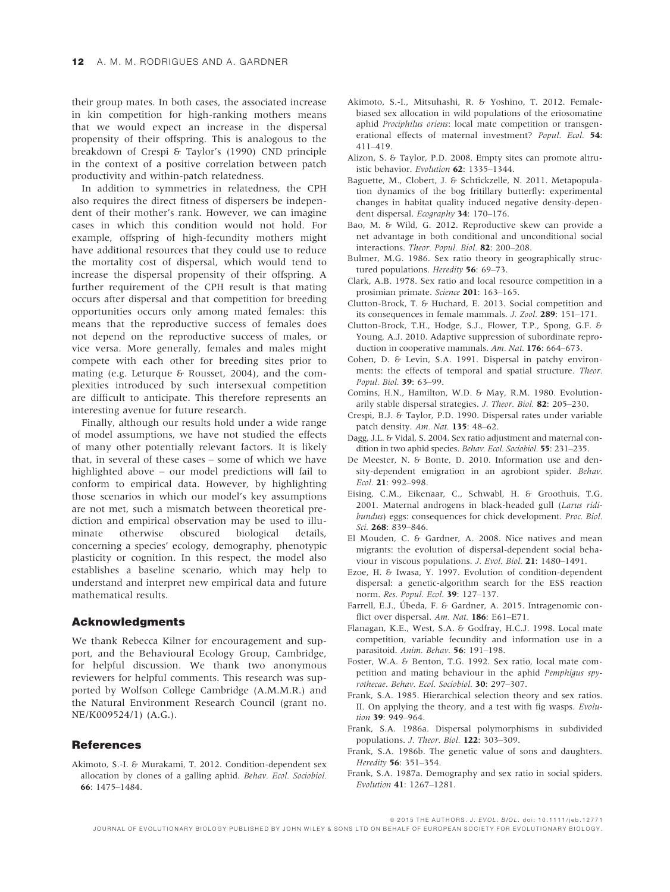their group mates. In both cases, the associated increase in kin competition for high-ranking mothers means that we would expect an increase in the dispersal propensity of their offspring. This is analogous to the breakdown of Crespi & Taylor's (1990) CND principle in the context of a positive correlation between patch productivity and within-patch relatedness.

In addition to symmetries in relatedness, the CPH also requires the direct fitness of dispersers be independent of their mother's rank. However, we can imagine cases in which this condition would not hold. For example, offspring of high-fecundity mothers might have additional resources that they could use to reduce the mortality cost of dispersal, which would tend to increase the dispersal propensity of their offspring. A further requirement of the CPH result is that mating occurs after dispersal and that competition for breeding opportunities occurs only among mated females: this means that the reproductive success of females does not depend on the reproductive success of males, or vice versa. More generally, females and males might compete with each other for breeding sites prior to mating (e.g. Leturque & Rousset, 2004), and the complexities introduced by such intersexual competition are difficult to anticipate. This therefore represents an interesting avenue for future research.

Finally, although our results hold under a wide range of model assumptions, we have not studied the effects of many other potentially relevant factors. It is likely that, in several of these cases – some of which we have highlighted above – our model predictions will fail to conform to empirical data. However, by highlighting those scenarios in which our model's key assumptions are not met, such a mismatch between theoretical prediction and empirical observation may be used to illuminate otherwise obscured biological details, concerning a species' ecology, demography, phenotypic plasticity or cognition. In this respect, the model also establishes a baseline scenario, which may help to understand and interpret new empirical data and future mathematical results.

#### Acknowledgments

We thank Rebecca Kilner for encouragement and support, and the Behavioural Ecology Group, Cambridge, for helpful discussion. We thank two anonymous reviewers for helpful comments. This research was supported by Wolfson College Cambridge (A.M.M.R.) and the Natural Environment Research Council (grant no. NE/K009524/1) (A.G.).

## **References**

Akimoto, S.-I. & Murakami, T. 2012. Condition-dependent sex allocation by clones of a galling aphid. Behav. Ecol. Sociobiol. 66: 1475–1484.

- Akimoto, S.-I., Mitsuhashi, R. & Yoshino, T. 2012. Femalebiased sex allocation in wild populations of the eriosomatine aphid Prociphilus oriens: local mate competition or transgenerational effects of maternal investment? Popul. Ecol. 54: 411–419.
- Alizon, S. & Taylor, P.D. 2008. Empty sites can promote altruistic behavior. Evolution 62: 1335–1344.
- Baguette, M., Clobert, J. & Schtickzelle, N. 2011. Metapopulation dynamics of the bog fritillary butterfly: experimental changes in habitat quality induced negative density-dependent dispersal. Ecography 34: 170-176.
- Bao, M. & Wild, G. 2012. Reproductive skew can provide a net advantage in both conditional and unconditional social interactions. Theor. Popul. Biol. 82: 200–208.
- Bulmer, M.G. 1986. Sex ratio theory in geographically structured populations. Heredity **56**: 69-73.
- Clark, A.B. 1978. Sex ratio and local resource competition in a prosimian primate. Science 201: 163–165.
- Clutton-Brock, T. & Huchard, E. 2013. Social competition and its consequences in female mammals. J. Zool. 289: 151–171.
- Clutton-Brock, T.H., Hodge, S.J., Flower, T.P., Spong, G.F. & Young, A.J. 2010. Adaptive suppression of subordinate reproduction in cooperative mammals. Am. Nat. 176: 664–673.
- Cohen, D. & Levin, S.A. 1991. Dispersal in patchy environments: the effects of temporal and spatial structure. Theor. Popul. Biol. 39: 63–99.
- Comins, H.N., Hamilton, W.D. & May, R.M. 1980. Evolutionarily stable dispersal strategies. J. Theor. Biol. 82: 205–230.
- Crespi, B.J. & Taylor, P.D. 1990. Dispersal rates under variable patch density. Am. Nat. 135: 48–62.
- Dagg, J.L. & Vidal, S. 2004. Sex ratio adjustment and maternal condition in two aphid species. Behav. Ecol. Sociobiol. 55: 231–235.
- De Meester, N. & Bonte, D. 2010. Information use and density-dependent emigration in an agrobiont spider. Behav. Ecol. 21: 992–998.
- Eising, C.M., Eikenaar, C., Schwabl, H. & Groothuis, T.G. 2001. Maternal androgens in black-headed gull (Larus ridibundus) eggs: consequences for chick development. Proc. Biol. Sci. 268: 839–846.
- El Mouden, C. & Gardner, A. 2008. Nice natives and mean migrants: the evolution of dispersal-dependent social behaviour in viscous populations. J. Evol. Biol. 21: 1480–1491.
- Ezoe, H. & Iwasa, Y. 1997. Evolution of condition-dependent dispersal: a genetic-algorithm search for the ESS reaction norm. Res. Popul. Ecol. 39: 127–137.
- Farrell, E.J., Ubeda, F. & Gardner, A. 2015. Intragenomic con flict over dispersal. Am. Nat. 186: E61-E71.
- Flanagan, K.E., West, S.A. & Godfray, H.C.J. 1998. Local mate competition, variable fecundity and information use in a parasitoid. Anim. Behav. 56: 191–198.
- Foster, W.A. & Benton, T.G. 1992. Sex ratio, local mate competition and mating behaviour in the aphid Pemphigus spyrothecae. Behav. Ecol. Sociobiol. 30: 297–307.
- Frank, S.A. 1985. Hierarchical selection theory and sex ratios. II. On applying the theory, and a test with fig wasps. Evolution 39: 949-964.
- Frank, S.A. 1986a. Dispersal polymorphisms in subdivided populations. J. Theor. Biol. 122: 303-309.
- Frank, S.A. 1986b. The genetic value of sons and daughters. Heredity 56: 351–354.
- Frank, S.A. 1987a. Demography and sex ratio in social spiders. Evolution 41: 1267–1281.

ª 2015 THE AUTHORS. J. EVOL. BIOL. doi: 10.1111/jeb.12771

JOURNAL OF EVOLUTIONARY BIOLOGY PUBLISHED BY JOHN WILEY & SONS LTD ON BEHALF OF EUROPEAN SOCIETY FOR EVOLUTIONARY BIOLOGY.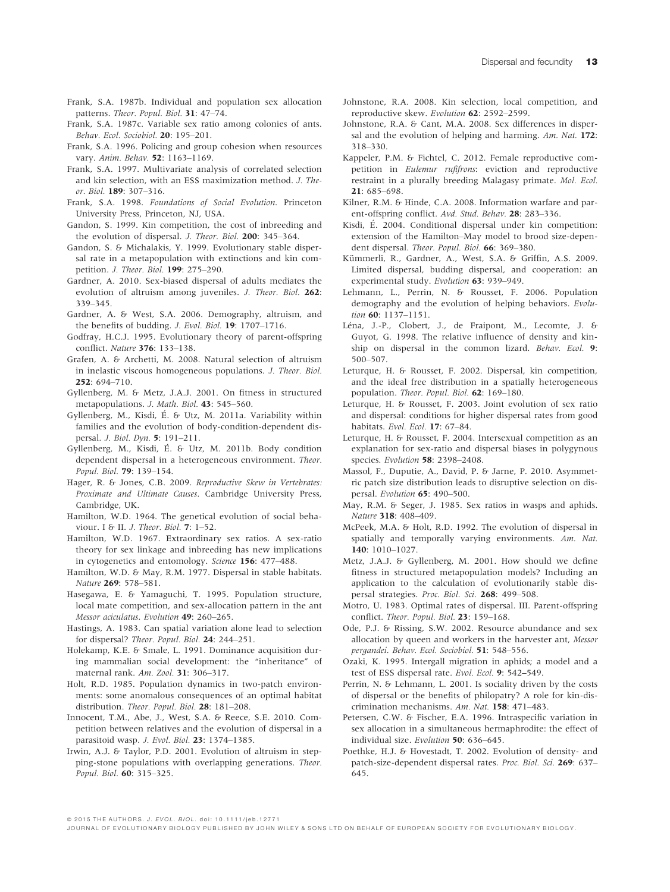- Frank, S.A. 1987b. Individual and population sex allocation patterns. Theor. Popul. Biol. 31: 47-74.
- Frank, S.A. 1987c. Variable sex ratio among colonies of ants. Behav. Ecol. Sociobiol. 20: 195–201.
- Frank, S.A. 1996. Policing and group cohesion when resources vary. Anim. Behav. 52: 1163–1169.
- Frank, S.A. 1997. Multivariate analysis of correlated selection and kin selection, with an ESS maximization method. J. Theor. Biol. 189: 307–316.
- Frank, S.A. 1998. Foundations of Social Evolution. Princeton University Press, Princeton, NJ, USA.
- Gandon, S. 1999. Kin competition, the cost of inbreeding and the evolution of dispersal. J. Theor. Biol. 200: 345–364.
- Gandon, S. & Michalakis, Y. 1999. Evolutionary stable dispersal rate in a metapopulation with extinctions and kin competition. J. Theor. Biol. 199: 275–290.
- Gardner, A. 2010. Sex-biased dispersal of adults mediates the evolution of altruism among juveniles. J. Theor. Biol. 262: 339–345.
- Gardner, A. & West, S.A. 2006. Demography, altruism, and the benefits of budding. J. Evol. Biol. 19: 1707–1716.
- Godfray, H.C.J. 1995. Evolutionary theory of parent-offspring conflict. Nature 376: 133–138.
- Grafen, A. & Archetti, M. 2008. Natural selection of altruism in inelastic viscous homogeneous populations. J. Theor. Biol. 252: 694–710.
- Gyllenberg, M. & Metz, J.A.J. 2001. On fitness in structured metapopulations. J. Math. Biol. 43: 545–560.
- Gyllenberg, M., Kisdi, E. & Utz, M. 2011a. Variability within families and the evolution of body-condition-dependent dispersal. J. Biol. Dyn. 5: 191–211.
- Gyllenberg, M., Kisdi, E. & Utz, M. 2011b. Body condition dependent dispersal in a heterogeneous environment. Theor. Popul. Biol. 79: 139–154.
- Hager, R. & Jones, C.B. 2009. Reproductive Skew in Vertebrates: Proximate and Ultimate Causes. Cambridge University Press, Cambridge, UK.
- Hamilton, W.D. 1964. The genetical evolution of social behaviour. I & II. J. Theor. Biol. 7: 1–52.
- Hamilton, W.D. 1967. Extraordinary sex ratios. A sex-ratio theory for sex linkage and inbreeding has new implications in cytogenetics and entomology. Science 156: 477–488.
- Hamilton, W.D. & May, R.M. 1977. Dispersal in stable habitats. Nature 269: 578–581.
- Hasegawa, E. & Yamaguchi, T. 1995. Population structure, local mate competition, and sex-allocation pattern in the ant Messor aciculatus. Evolution 49: 260–265.
- Hastings, A. 1983. Can spatial variation alone lead to selection for dispersal? Theor. Popul. Biol. 24: 244–251.
- Holekamp, K.E. & Smale, L. 1991. Dominance acquisition during mammalian social development: the "inheritance" of maternal rank. Am. Zool. 31: 306–317.
- Holt, R.D. 1985. Population dynamics in two-patch environments: some anomalous consequences of an optimal habitat distribution. Theor. Popul. Biol. 28: 181-208.
- Innocent, T.M., Abe, J., West, S.A. & Reece, S.E. 2010. Competition between relatives and the evolution of dispersal in a parasitoid wasp. J. Evol. Biol. 23: 1374–1385.
- Irwin, A.J. & Taylor, P.D. 2001. Evolution of altruism in stepping-stone populations with overlapping generations. Theor. Popul. Biol. 60: 315–325.
- Johnstone, R.A. 2008. Kin selection, local competition, and reproductive skew. Evolution 62: 2592–2599.
- Johnstone, R.A. & Cant, M.A. 2008. Sex differences in dispersal and the evolution of helping and harming. Am. Nat. 172: 318–330.
- Kappeler, P.M. & Fichtel, C. 2012. Female reproductive competition in Eulemur rufifrons: eviction and reproductive restraint in a plurally breeding Malagasy primate. Mol. Ecol. 21: 685–698.
- Kilner, R.M. & Hinde, C.A. 2008. Information warfare and parent-offspring conflict. Avd. Stud. Behav. 28: 283–336.
- Kisdi, E. 2004. Conditional dispersal under kin competition: extension of the Hamilton–May model to brood size-dependent dispersal. Theor. Popul. Biol. 66: 369-380.
- Kümmerli, R., Gardner, A., West, S.A. & Griffin, A.S. 2009. Limited dispersal, budding dispersal, and cooperation: an experimental study. Evolution 63: 939-949.
- Lehmann, L., Perrin, N. & Rousset, F. 2006. Population demography and the evolution of helping behaviors. Evolution 60: 1137–1151.
- Léna, J.-P., Clobert, J., de Fraipont, M., Lecomte, J. & Guyot, G. 1998. The relative influence of density and kinship on dispersal in the common lizard. Behav. Ecol. 9: 500–507.
- Leturque, H. & Rousset, F. 2002. Dispersal, kin competition, and the ideal free distribution in a spatially heterogeneous population. Theor. Popul. Biol. 62: 169–180.
- Leturque, H. & Rousset, F. 2003. Joint evolution of sex ratio and dispersal: conditions for higher dispersal rates from good habitats. Evol. Ecol. **17**: 67–84.
- Leturque, H. & Rousset, F. 2004. Intersexual competition as an explanation for sex-ratio and dispersal biases in polygynous species. Evolution 58: 2398–2408.
- Massol, F., Duputie, A., David, P. & Jarne, P. 2010. Asymmetric patch size distribution leads to disruptive selection on dispersal. Evolution 65: 490–500.
- May, R.M. & Seger, J. 1985. Sex ratios in wasps and aphids. Nature 318: 408–409.
- McPeek, M.A. & Holt, R.D. 1992. The evolution of dispersal in spatially and temporally varying environments. Am. Nat. 140: 1010–1027.
- Metz, J.A.J. & Gyllenberg, M. 2001. How should we define fitness in structured metapopulation models? Including an application to the calculation of evolutionarily stable dispersal strategies. Proc. Biol. Sci. 268: 499–508.
- Motro, U. 1983. Optimal rates of dispersal. III. Parent-offspring conflict. Theor. Popul. Biol. 23: 159-168.
- Ode, P.J. & Rissing, S.W. 2002. Resource abundance and sex allocation by queen and workers in the harvester ant, Messor pergandei. Behav. Ecol. Sociobiol. 51: 548–556.
- Ozaki, K. 1995. Intergall migration in aphids; a model and a test of ESS dispersal rate. Evol. Ecol. 9: 542-549.
- Perrin, N. & Lehmann, L. 2001. Is sociality driven by the costs of dispersal or the benefits of philopatry? A role for kin-discrimination mechanisms. Am. Nat. 158: 471–483.
- Petersen, C.W. & Fischer, E.A. 1996. Intraspecific variation in sex allocation in a simultaneous hermaphrodite: the effect of individual size. Evolution 50: 636–645.
- Poethke, H.J. & Hovestadt, T. 2002. Evolution of density- and patch-size-dependent dispersal rates. Proc. Biol. Sci. 269: 637– 645.

ª 2015 THE AUTHORS. J. EVOL. BIOL. doi: 10.1111/jeb.12771

JOURNAL OF EVOLUTIONARY BIOLOGY PUBLISHED BY JOHN WILEY & SONS LTD ON BEHALF OF EUROPEAN SOCIETY FOR EVOLUTIONARY BIOLOGY.